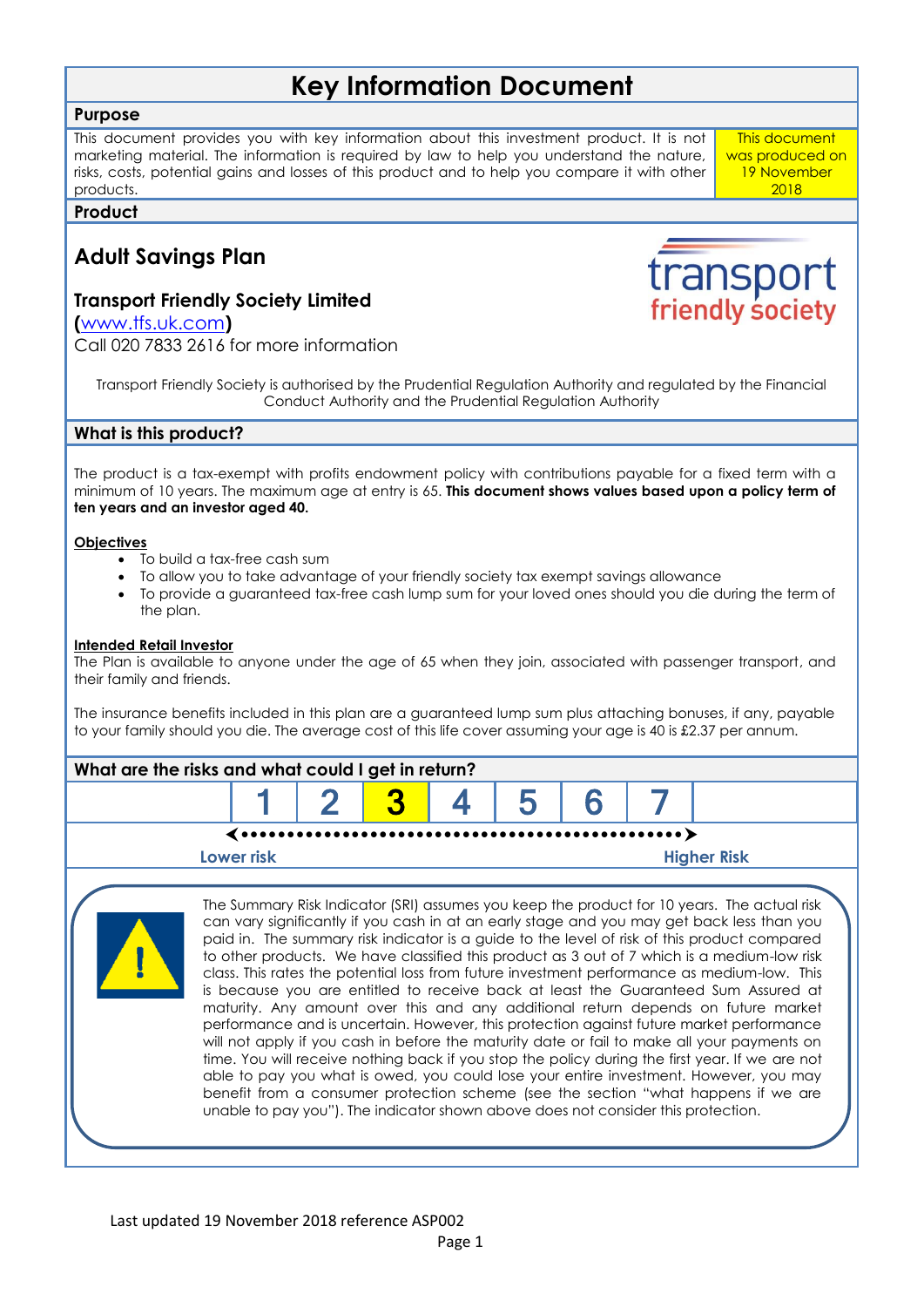# **Key Information Document**

# **Purpose**

This document provides you with key information about this investment product. It is not marketing material. The information is required by law to help you understand the nature, risks, costs, potential gains and losses of this product and to help you compare it with other products.

**Product**

# **Adult Savings Plan**

# **Transport Friendly Society Limited**

**(**[www.tfs.uk.com](http://www.tfs.uk.com/)**)**

Call 020 7833 2616 for more information

Transport Friendly Society is authorised by the Prudential Regulation Authority and regulated by the Financial Conduct Authority and the Prudential Regulation Authority

# **What is this product?**

The product is a tax-exempt with profits endowment policy with contributions payable for a fixed term with a minimum of 10 years. The maximum age at entry is 65. **This document shows values based upon a policy term of ten years and an investor aged 40.**

## **Objectives**

- To build a tax-free cash sum
- To allow you to take advantage of your friendly society tax exempt savings allowance
- To provide a guaranteed tax-free cash lump sum for your loved ones should you die during the term of the plan.

## **Intended Retail Investor**

The Plan is available to anyone under the age of 65 when they join, associated with passenger transport, and their family and friends.

The insurance benefits included in this plan are a guaranteed lump sum plus attaching bonuses, if any, payable to your family should you die. The average cost of this life cover assuming your age is 40 is £2.37 per annum.





The Summary Risk Indicator (SRI) assumes you keep the product for 10 years. The actual risk can vary significantly if you cash in at an early stage and you may get back less than you paid in. The summary risk indicator is a guide to the level of risk of this product compared to other products. We have classified this product as 3 out of 7 which is a medium-low risk class. This rates the potential loss from future investment performance as medium-low. This is because you are entitled to receive back at least the Guaranteed Sum Assured at maturity. Any amount over this and any additional return depends on future market performance and is uncertain. However, this protection against future market performance will not apply if you cash in before the maturity date or fail to make all your payments on time. You will receive nothing back if you stop the policy during the first year. If we are not able to pay you what is owed, you could lose your entire investment. However, you may benefit from a consumer protection scheme (see the section "what happens if we are unable to pay you"). The indicator shown above does not consider this protection.



transport friendly society

This document was produced on 19 November 2018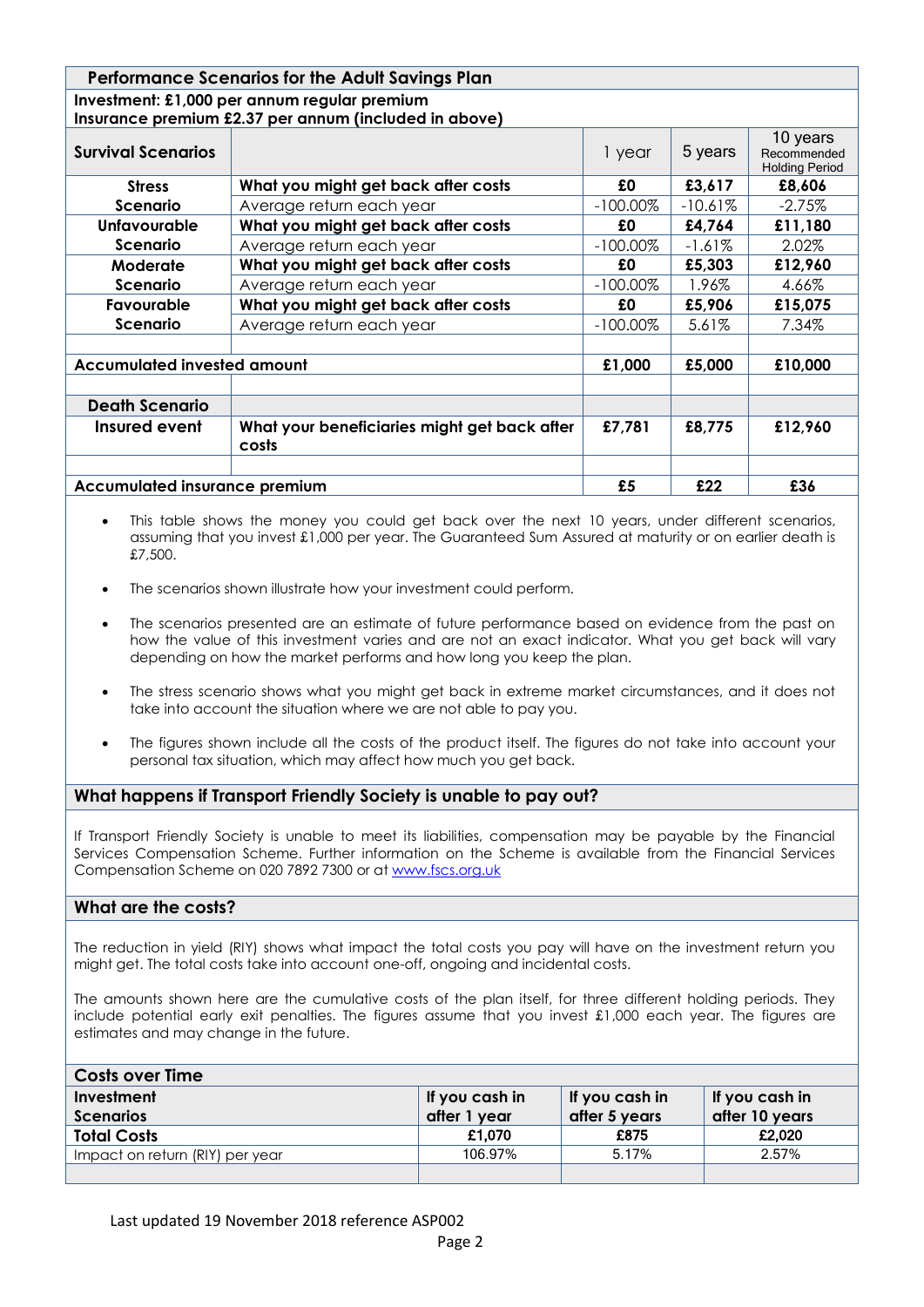| <b>Performance Scenarios for the Adult Savings Plan</b> |                                                                                                                                                                                                                                  |             |                                                                                                                                                                                                                                      |                                                  |  |  |
|---------------------------------------------------------|----------------------------------------------------------------------------------------------------------------------------------------------------------------------------------------------------------------------------------|-------------|--------------------------------------------------------------------------------------------------------------------------------------------------------------------------------------------------------------------------------------|--------------------------------------------------|--|--|
|                                                         | Investment: £1,000 per annum regular premium                                                                                                                                                                                     |             |                                                                                                                                                                                                                                      |                                                  |  |  |
| Insurance premium £2.37 per annum (included in above)   |                                                                                                                                                                                                                                  |             |                                                                                                                                                                                                                                      |                                                  |  |  |
| <b>Survival Scenarios</b>                               |                                                                                                                                                                                                                                  | 1 year      | 5 years                                                                                                                                                                                                                              | 10 years<br>Recommended<br><b>Holding Period</b> |  |  |
| <b>Stress</b>                                           | What you might get back after costs                                                                                                                                                                                              | £0          | £3,617                                                                                                                                                                                                                               | £8,606                                           |  |  |
| <b>Scenario</b>                                         | Average return each year                                                                                                                                                                                                         | $-100.00\%$ | $-10.61%$                                                                                                                                                                                                                            | $-2.75%$                                         |  |  |
| <b>Unfavourable</b>                                     | What you might get back after costs                                                                                                                                                                                              | £0          | £4,764                                                                                                                                                                                                                               | £11,180                                          |  |  |
| <b>Scenario</b>                                         | Average return each year                                                                                                                                                                                                         | $-100.00\%$ | $-1.61\%$                                                                                                                                                                                                                            | 2.02%                                            |  |  |
| Moderate                                                | What you might get back after costs                                                                                                                                                                                              | £0          | £5,303                                                                                                                                                                                                                               | £12,960                                          |  |  |
| Scenario                                                | Average return each year                                                                                                                                                                                                         | $-100.00\%$ | 1.96%                                                                                                                                                                                                                                | 4.66%                                            |  |  |
| Favourable                                              | What you might get back after costs                                                                                                                                                                                              | £0          | £5,906                                                                                                                                                                                                                               | £15,075                                          |  |  |
| <b>Scenario</b>                                         | Average return each year                                                                                                                                                                                                         | $-100.00\%$ | 5.61%                                                                                                                                                                                                                                | 7.34%                                            |  |  |
|                                                         |                                                                                                                                                                                                                                  |             |                                                                                                                                                                                                                                      |                                                  |  |  |
| <b>Accumulated invested amount</b>                      |                                                                                                                                                                                                                                  | £1,000      | £5,000                                                                                                                                                                                                                               | £10,000                                          |  |  |
|                                                         |                                                                                                                                                                                                                                  |             |                                                                                                                                                                                                                                      |                                                  |  |  |
| <b>Death Scenario</b>                                   |                                                                                                                                                                                                                                  |             |                                                                                                                                                                                                                                      |                                                  |  |  |
| Insured event                                           | What your beneficiaries might get back after<br>costs                                                                                                                                                                            | £7,781      | £8,775                                                                                                                                                                                                                               | £12,960                                          |  |  |
|                                                         |                                                                                                                                                                                                                                  |             |                                                                                                                                                                                                                                      |                                                  |  |  |
| <b>Accumulated insurance premium</b>                    |                                                                                                                                                                                                                                  | £5          | £22                                                                                                                                                                                                                                  | £36                                              |  |  |
|                                                         | $\mathbf{r}$ , and the set of the set of the set of the set of the set of the set of the set of the set of the set of the set of the set of the set of the set of the set of the set of the set of the set of the set of the set |             | <b>Contract Contract Contract Contract Contract Contract Contract Contract Contract Contract Contract Contract Contract Contract Contract Contract Contract Contract Contract Contract Contract Contract Contract Contract Contr</b> |                                                  |  |  |

- This table shows the money you could get back over the next 10 years, under different scenarios, assuming that you invest £1,000 per year. The Guaranteed Sum Assured at maturity or on earlier death is £7,500.
- The scenarios shown illustrate how your investment could perform.
- The scenarios presented are an estimate of future performance based on evidence from the past on how the value of this investment varies and are not an exact indicator. What you get back will vary depending on how the market performs and how long you keep the plan.
- The stress scenario shows what you might get back in extreme market circumstances, and it does not take into account the situation where we are not able to pay you.
- The figures shown include all the costs of the product itself. The figures do not take into account your personal tax situation, which may affect how much you get back.

# **What happens if Transport Friendly Society is unable to pay out?**

If Transport Friendly Society is unable to meet its liabilities, compensation may be payable by the Financial Services Compensation Scheme. Further information on the Scheme is available from the Financial Services Compensation Scheme on 020 7892 7300 or a[t www.fscs.org.uk](http://www.fscs.org.uk/)

# **What are the costs?**

The reduction in yield (RIY) shows what impact the total costs you pay will have on the investment return you might get. The total costs take into account one-off, ongoing and incidental costs.

The amounts shown here are the cumulative costs of the plan itself, for three different holding periods. They include potential early exit penalties. The figures assume that you invest £1,000 each year. The figures are estimates and may change in the future.

| <b>Costs over Time</b>          |                |                |                |  |  |  |
|---------------------------------|----------------|----------------|----------------|--|--|--|
| Investment                      | If you cash in | If you cash in | If you cash in |  |  |  |
| <b>Scenarios</b>                | after 1 year   | after 5 years  | after 10 years |  |  |  |
| <b>Total Costs</b>              | £1,070         | £875           | £2,020         |  |  |  |
| Impact on return (RIY) per year | 106.97%        | 5.17%          | 2.57%          |  |  |  |
|                                 |                |                |                |  |  |  |